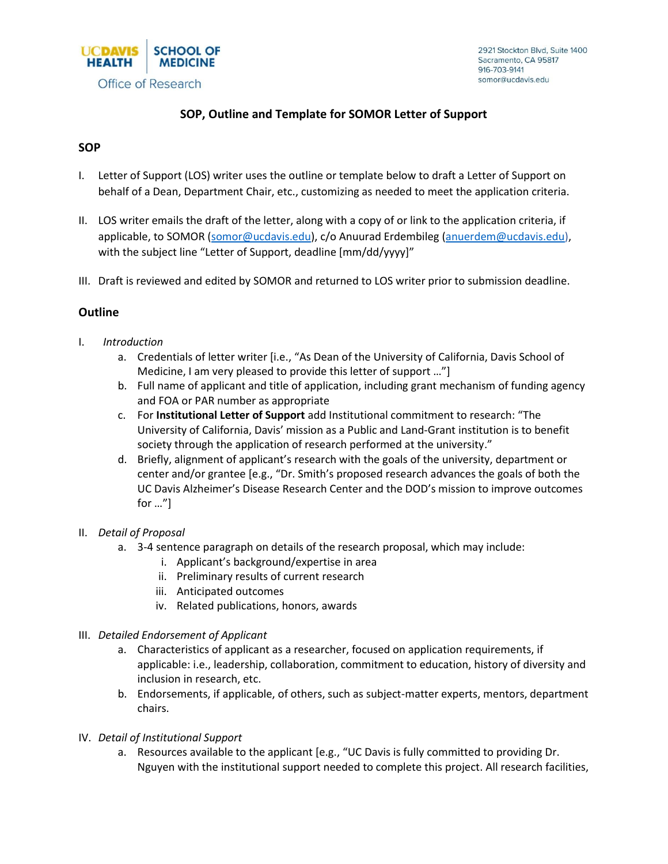

# **SOP, Outline and Template for SOMOR Letter of Support**

### **SOP**

- I. Letter of Support (LOS) writer uses the outline or template below to draft a Letter of Support on behalf of a Dean, Department Chair, etc., customizing as needed to meet the application criteria.
- II. LOS writer emails the draft of the letter, along with a copy of or link to the application criteria, if applicable, to SOMOR [\(somor@ucdavis.edu\)](mailto:somor@ucdavis.edu), c/o Anuurad Erdembileg [\(anuerdem@ucdavis.edu\)](mailto:anuerdem@ucdavis.edu), with the subject line "Letter of Support, deadline [mm/dd/yyyy]"
- III. Draft is reviewed and edited by SOMOR and returned to LOS writer prior to submission deadline.

## **Outline**

- I. *Introduction* 
	- a. Credentials of letter writer [i.e., "As Dean of the University of California, Davis School of Medicine, I am very pleased to provide this letter of support …"]
	- b. Full name of applicant and title of application, including grant mechanism of funding agency and FOA or PAR number as appropriate
	- c. For **Institutional Letter of Support** add Institutional commitment to research: "The University of California, Davis' mission as a Public and Land-Grant institution is to benefit society through the application of research performed at the university."
	- d. Briefly, alignment of applicant's research with the goals of the university, department or center and/or grantee [e.g., "Dr. Smith's proposed research advances the goals of both the UC Davis Alzheimer's Disease Research Center and the DOD's mission to improve outcomes for …"]
- II. *Detail of Proposal*
	- a. 3-4 sentence paragraph on details of the research proposal, which may include:
		- i. Applicant's background/expertise in area
		- ii. Preliminary results of current research
		- iii. Anticipated outcomes
		- iv. Related publications, honors, awards
- III. *Detailed Endorsement of Applicant*
	- a. Characteristics of applicant as a researcher, focused on application requirements, if applicable: i.e., leadership, collaboration, commitment to education, history of diversity and inclusion in research, etc.
	- b. Endorsements, if applicable, of others, such as subject-matter experts, mentors, department chairs.
- IV. *Detail of Institutional Support*
	- a. Resources available to the applicant [e.g., "UC Davis is fully committed to providing Dr. Nguyen with the institutional support needed to complete this project. All research facilities,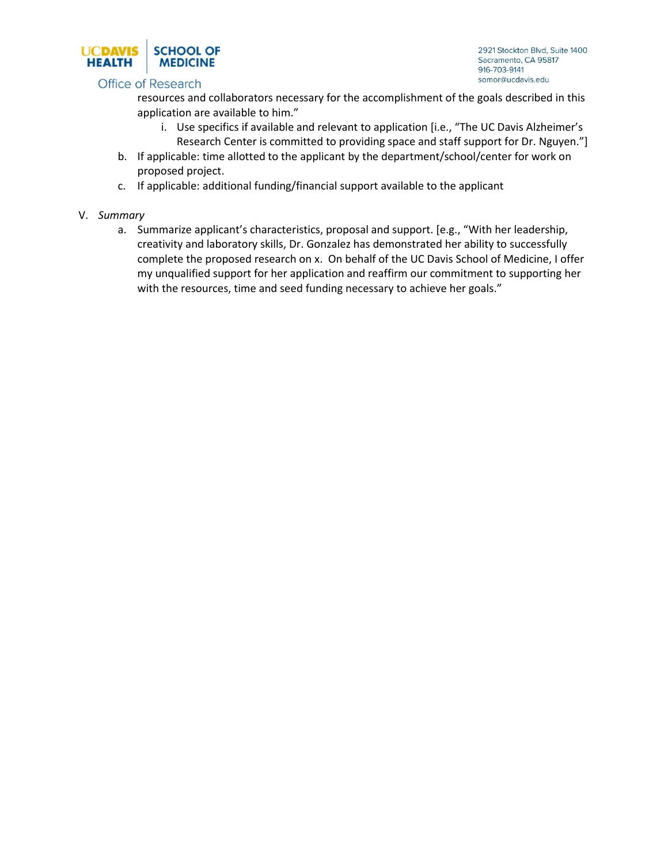

### Office of Research

2921 Stockton Blvd, Suite 1400 Sacramento, CA 95817 916-703-9141 somor@ucdavis.edu

resources and collaborators necessary for the accomplishment of the goals described in this application are available to him."

- i. Use specifics if available and relevant to application [i.e., "The UC Davis Alzheimer's Research Center is committed to providing space and staff support for Dr. Nguyen."]
- b. If applicable: time allotted to the applicant by the department/school/center for work on proposed project.
- c. If applicable: additional funding/financial support available to the applicant
- V. *Summary*
	- a. Summarize applicant's characteristics, proposal and support. [e.g., "With her leadership, creativity and laboratory skills, Dr. Gonzalez has demonstrated her ability to successfully complete the proposed research on x. On behalf of the UC Davis School of Medicine, I offer my unqualified support for her application and reaffirm our commitment to supporting her with the resources, time and seed funding necessary to achieve her goals."